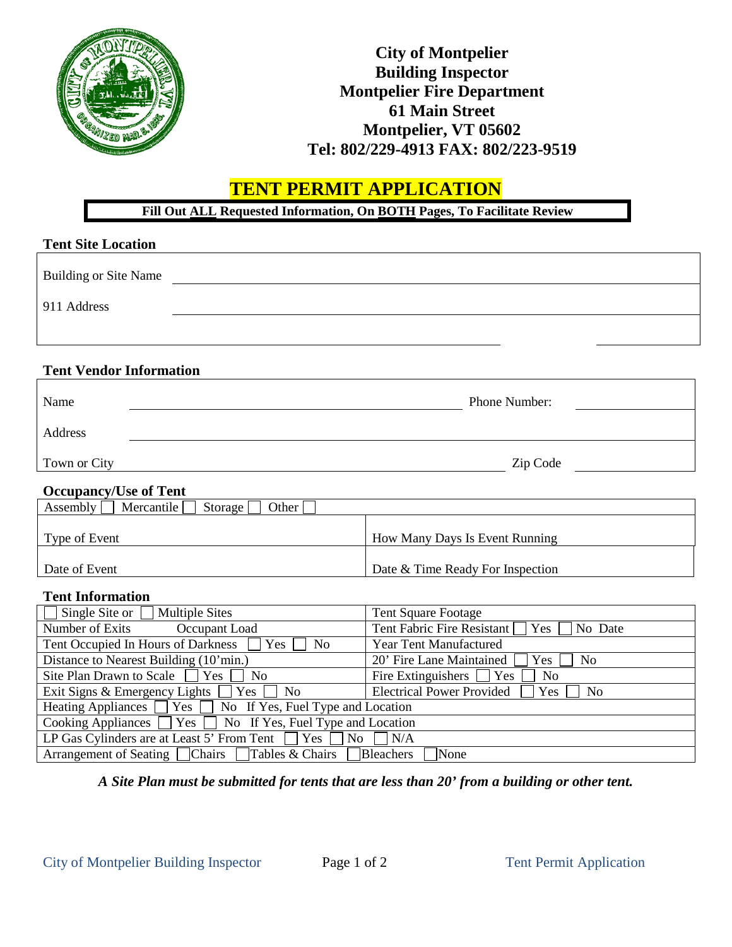

# **City of Montpelier Building Inspector Montpelier Fire Department 61 Main Street Montpelier, VT 05602 Tel: 802/229-4913 FAX: 802/223-9519**

# **TENT PERMIT APPLICATION**

**Fill Out ALL Requested Information, On BOTH Pages, To Facilitate Review**

| <b>Tent Site Location</b>                    |                                  |
|----------------------------------------------|----------------------------------|
| <b>Building or Site Name</b>                 |                                  |
| 911 Address                                  |                                  |
|                                              |                                  |
| <b>Tent Vendor Information</b>               |                                  |
| Name                                         | Phone Number:                    |
| Address                                      |                                  |
| Town or City                                 | Zip Code                         |
| <b>Occupancy/Use of Tent</b>                 |                                  |
| Assembly<br>Mercantile<br>Storage [<br>Other |                                  |
| Type of Event                                | How Many Days Is Event Running   |
| Date of Event                                | Date & Time Ready For Inspection |

### **Tent Information**

| $\Box$ Single Site or [<br><b>Multiple Sites</b>                           | <b>Tent Square Footage</b>                                |  |  |  |
|----------------------------------------------------------------------------|-----------------------------------------------------------|--|--|--|
| Number of Exits<br>Occupant Load                                           | Tent Fabric Fire Resistant $\Box$ Yes $\Box$ No Date      |  |  |  |
| Tent Occupied In Hours of Darkness □<br>Yes<br>N <sub>0</sub>              | <b>Year Tent Manufactured</b>                             |  |  |  |
| Distance to Nearest Building (10'min.)                                     | 20' Fire Lane Maintained<br>Yes<br>N <sub>0</sub>         |  |  |  |
| Site Plan Drawn to Scale<br>$Yes \mid$<br>No                               | Fire Extinguishers $\Box$ Yes<br>N <sub>0</sub>           |  |  |  |
| Exit Signs & Emergency Lights $\Box$<br>$Yes \mid \mid No$                 | <b>Electrical Power Provided</b><br>N <sub>0</sub><br>Yes |  |  |  |
| Heating Appliances $\Box$ Yes $\Box$ No If Yes, Fuel Type and Location     |                                                           |  |  |  |
| Cooking Appliances $\Box$ Yes $\Box$ No If Yes, Fuel Type and Location     |                                                           |  |  |  |
| LP Gas Cylinders are at Least 5' From Tent $\Box$ Yes $\Box$ No $\Box$ N/A |                                                           |  |  |  |
| Arrangement of Seating □ Chairs □ Tables & Chairs □ Bleachers<br>None      |                                                           |  |  |  |

*A Site Plan must be submitted for tents that are less than 20' from a building or other tent.*